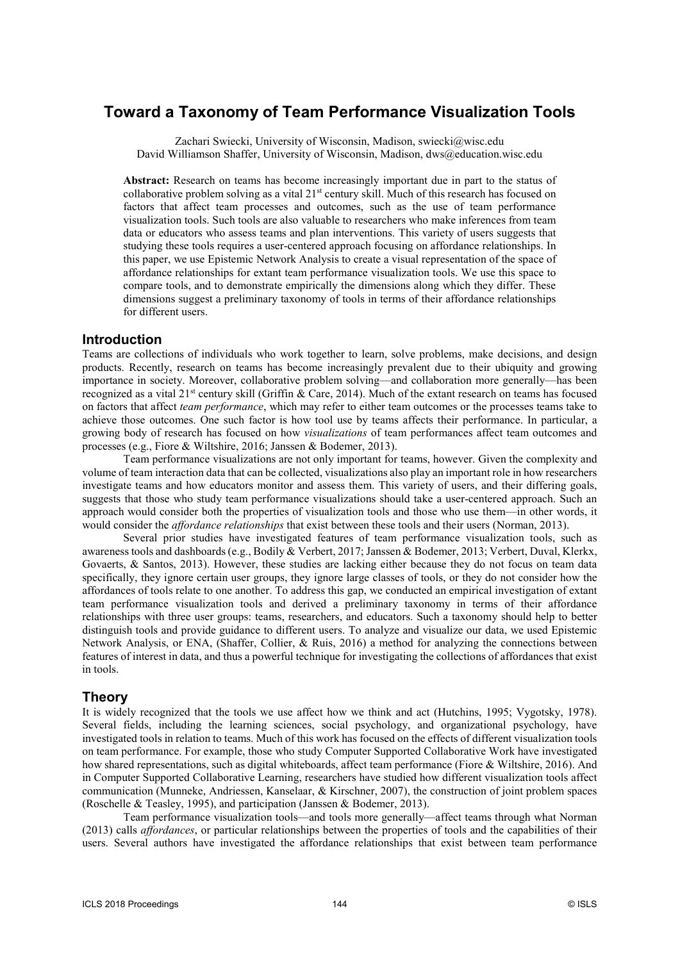# **Toward a Taxonomy of Team Performance Visualization Tools**

Zachari Swiecki, University of Wisconsin, Madison, swiecki@wisc.edu David Williamson Shaffer, University of Wisconsin, Madison, dws@education.wisc.edu

Abstract: Research on teams has become increasingly important due in part to the status of collaborative problem solving as a vital  $21<sup>st</sup>$  century skill. Much of this research has focused on factors that affect team processes and outcomes, such as the use of team performance visualization tools. Such tools are also valuable to researchers who make inferences from team data or educators who assess teams and plan interventions. This variety of users suggests that studying these tools requires a user-centered approach focusing on affordance relationships. In this paper, we use Epistemic Network Analysis to create a visual representation of the space of affordance relationships for extant team performance visualization tools. We use this space to compare tools, and to demonstrate empirically the dimensions along which they differ. These dimensions suggest a preliminary taxonomy of tools in terms of their affordance relationships for different users.

# **Introduction**

Teams are collections of individuals who work together to learn, solve problems, make decisions, and design products. Recently, research on teams has become increasingly prevalent due to their ubiquity and growing importance in society. Moreover, collaborative problem solving—and collaboration more generally—has been recognized as a vital  $21^{st}$  century skill (Griffin & Care, 2014). Much of the extant research on teams has focused on factors that affect *team performance*, which may refer to either team outcomes or the processes teams take to achieve those outcomes. One such factor is how tool use by teams affects their performance. In particular, a growing body of research has focused on how visualizations of team performances affect team outcomes and processes (e.g., Fiore & Wiltshire, 2016; Janssen & Bodemer, 2013).

Team performance visualizations are not only important for teams, however. Given the complexity and volume of team interaction data that can be collected, visualizations also play an important role in how researchers investigate teams and how educators monitor and assess them. This variety of users, and their differing goals, suggests that those who study team performance visualizations should take a user-centered approach. Such an approach would consider both the properties of visualization tools and those who use them—in other words, it would consider the *affordance relationships* that exist between these tools and their users (Norman, 2013).

Several prior studies have investigated features of team performance visualization tools, such as awareness tools and dashboards (e.g., Bodily & Verbert, 2017; Janssen & Bodemer, 2013; Verbert, Duval, Klerkx, Govaerts, & Santos, 2013). However, these studies are lacking either because they do not focus on team data specifically, they ignore certain user groups, they ignore large classes of tools, or they do not consider how the affordances of tools relate to one another. To address this gap, we conducted an empirical investigation of extant team performance visualization tools and derived a preliminary taxonomy in terms of their affordance relationships with three user groups: teams, researchers, and educators. Such a taxonomy should help to better distinguish tools and provide guidance to different users. To analyze and visualize our data, we used Epistemic Network Analysis, or ENA, (Shaffer, Collier, & Ruis, 2016) a method for analyzing the connections between features of interest in data, and thus a powerful technique for investigating the collections of affordances that exist in tools.

# **Theory**

It is widely recognized that the tools we use affect how we think and act (Hutchins, 1995; Vygotsky, 1978). Several fields, including the learning sciences, social psychology, and organizational psychology, have investigated tools in relation to teams. Much of this work has focused on the effects of different visualization tools on team performance. For example, those who study Computer Supported Collaborative Work have investigated how shared representations, such as digital whiteboards, affect team performance (Fiore & Wiltshire, 2016). And in Computer Supported Collaborative Learning, researchers have studied how different visualization tools affect communication (Munneke, Andriessen, Kanselaar, & Kirschner, 2007), the construction of joint problem spaces (Roschelle & Teasley, 1995), and participation (Janssen & Bodemer, 2013).

Team performance visualization tools—and tools more generally—affect teams through what Norman (2013) calls affordances, or particular relationships between the properties of tools and the capabilities of their users. Several authors have investigated the affordance relationships that exist between team performance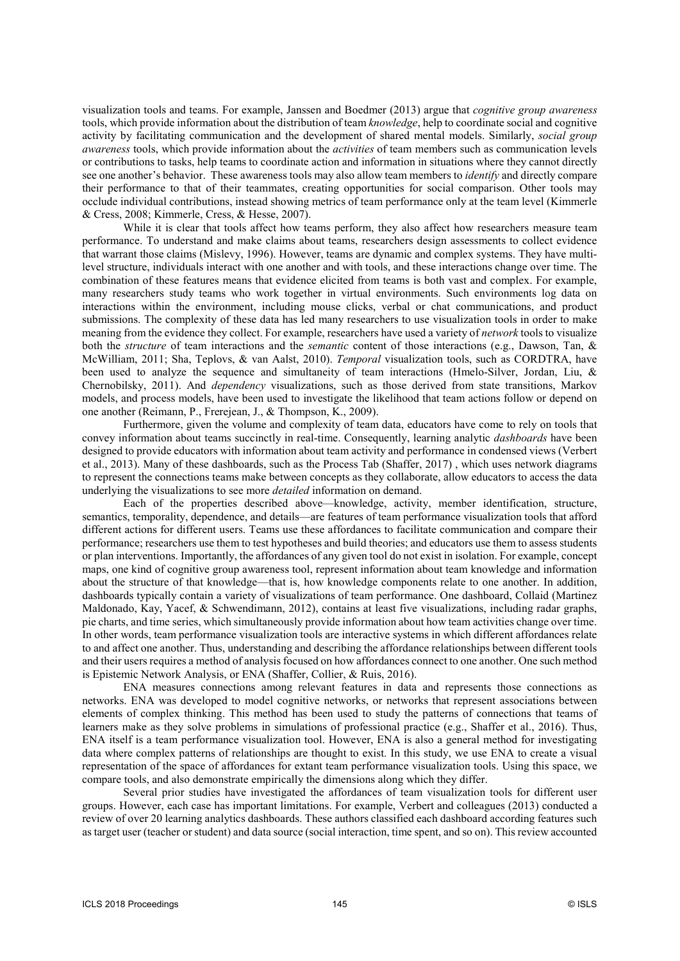visualization tools and teams. For example, Janssen and Boedmer (2013) argue that cognitive group awareness tools, which provide information about the distribution of team knowledge, help to coordinate social and cognitive activity by facilitating communication and the development of shared mental models. Similarly, social group awareness tools, which provide information about the *activities* of team members such as communication levels or contributions to tasks, help teams to coordinate action and information in situations where they cannot directly see one another's behavior. These awareness tools may also allow team members to *identify* and directly compare their performance to that of their teammates, creating opportunities for social comparison. Other tools may occlude individual contributions, instead showing metrics of team performance only at the team level (Kimmerle & Cress, 2008; Kimmerle, Cress, & Hesse, 2007).

While it is clear that tools affect how teams perform, they also affect how researchers measure team performance. To understand and make claims about teams, researchers design assessments to collect evidence that warrant those claims (Mislevy, 1996). However, teams are dynamic and complex systems. They have multilevel structure, individuals interact with one another and with tools, and these interactions change over time. The combination of these features means that evidence elicited from teams is both vast and complex. For example, many researchers study teams who work together in virtual environments. Such environments log data on interactions within the environment, including mouse clicks, verbal or chat communications, and product submissions. The complexity of these data has led many researchers to use visualization tools in order to make meaning from the evidence they collect. For example, researchers have used a variety of *network* tools to visualize both the *structure* of team interactions and the *semantic* content of those interactions (e.g., Dawson, Tan, & McWilliam, 2011; Sha, Teplovs, & van Aalst, 2010). Temporal visualization tools, such as CORDTRA, have been used to analyze the sequence and simultaneity of team interactions (Hmelo-Silver, Jordan, Liu, & Chernobilsky, 2011). And *dependency* visualizations, such as those derived from state transitions, Markov models, and process models, have been used to investigate the likelihood that team actions follow or depend on one another (Reimann, P., Frerejean, J., & Thompson, K., 2009).

Furthermore, given the volume and complexity of team data, educators have come to rely on tools that convey information about teams succinctly in real-time. Consequently, learning analytic *dashboards* have been designed to provide educators with information about team activity and performance in condensed views (Verbert et al., 2013). Many of these dashboards, such as the Process Tab (Shaffer, 2017) , which uses network diagrams to represent the connections teams make between concepts as they collaborate, allow educators to access the data underlying the visualizations to see more detailed information on demand.

Each of the properties described above—knowledge, activity, member identification, structure, semantics, temporality, dependence, and details—are features of team performance visualization tools that afford different actions for different users. Teams use these affordances to facilitate communication and compare their performance; researchers use them to test hypotheses and build theories; and educators use them to assess students or plan interventions. Importantly, the affordances of any given tool do not exist in isolation. For example, concept maps, one kind of cognitive group awareness tool, represent information about team knowledge and information about the structure of that knowledge—that is, how knowledge components relate to one another. In addition, dashboards typically contain a variety of visualizations of team performance. One dashboard, Collaid (Martinez Maldonado, Kay, Yacef, & Schwendimann, 2012), contains at least five visualizations, including radar graphs, pie charts, and time series, which simultaneously provide information about how team activities change over time. In other words, team performance visualization tools are interactive systems in which different affordances relate to and affect one another. Thus, understanding and describing the affordance relationships between different tools and their users requires a method of analysis focused on how affordances connect to one another. One such method is Epistemic Network Analysis, or ENA (Shaffer, Collier, & Ruis, 2016).

ENA measures connections among relevant features in data and represents those connections as networks. ENA was developed to model cognitive networks, or networks that represent associations between elements of complex thinking. This method has been used to study the patterns of connections that teams of learners make as they solve problems in simulations of professional practice (e.g., Shaffer et al., 2016). Thus, ENA itself is a team performance visualization tool. However, ENA is also a general method for investigating data where complex patterns of relationships are thought to exist. In this study, we use ENA to create a visual representation of the space of affordances for extant team performance visualization tools. Using this space, we compare tools, and also demonstrate empirically the dimensions along which they differ.

Several prior studies have investigated the affordances of team visualization tools for different user groups. However, each case has important limitations. For example, Verbert and colleagues (2013) conducted a review of over 20 learning analytics dashboards. These authors classified each dashboard according features such as target user (teacher or student) and data source (social interaction, time spent, and so on). This review accounted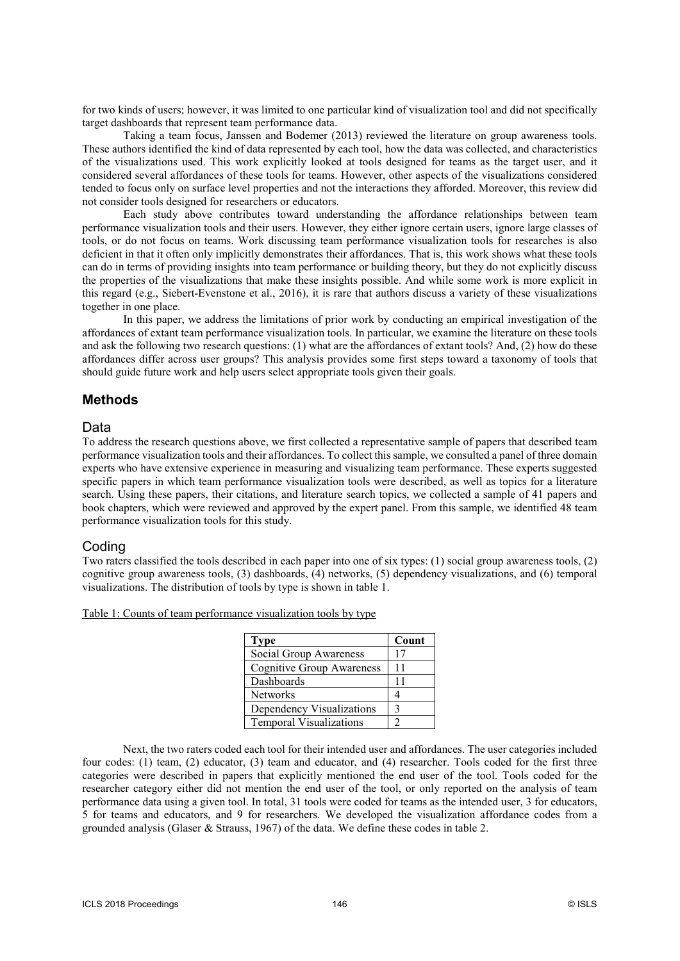for two kinds of users; however, it was limited to one particular kind of visualization tool and did not specifically target dashboards that represent team performance data.

Taking a team focus, Janssen and Bodemer (2013) reviewed the literature on group awareness tools. These authors identified the kind of data represented by each tool, how the data was collected, and characteristics of the visualizations used. This work explicitly looked at tools designed for teams as the target user, and it considered several affordances of these tools for teams. However, other aspects of the visualizations considered tended to focus only on surface level properties and not the interactions they afforded. Moreover, this review did not consider tools designed for researchers or educators.

Each study above contributes toward understanding the affordance relationships between team performance visualization tools and their users. However, they either ignore certain users, ignore large classes of tools, or do not focus on teams. Work discussing team performance visualization tools for researches is also deficient in that it often only implicitly demonstrates their affordances. That is, this work shows what these tools can do in terms of providing insights into team performance or building theory, but they do not explicitly discuss the properties of the visualizations that make these insights possible. And while some work is more explicit in this regard (e.g., Siebert-Evenstone et al., 2016), it is rare that authors discuss a variety of these visualizations together in one place.

In this paper, we address the limitations of prior work by conducting an empirical investigation of the affordances of extant team performance visualization tools. In particular, we examine the literature on these tools and ask the following two research questions: (1) what are the affordances of extant tools? And, (2) how do these affordances differ across user groups? This analysis provides some first steps toward a taxonomy of tools that should guide future work and help users select appropriate tools given their goals.

# **Methods**

# Data

To address the research questions above, we first collected a representative sample of papers that described team performance visualization tools and their affordances. To collect this sample, we consulted a panel of three domain experts who have extensive experience in measuring and visualizing team performance. These experts suggested specific papers in which team performance visualization tools were described, as well as topics for a literature search. Using these papers, their citations, and literature search topics, we collected a sample of 41 papers and book chapters, which were reviewed and approved by the expert panel. From this sample, we identified 48 team performance visualization tools for this study.

# Coding

Two raters classified the tools described in each paper into one of six types: (1) social group awareness tools, (2) cognitive group awareness tools, (3) dashboards, (4) networks, (5) dependency visualizations, and (6) temporal visualizations. The distribution of tools by type is shown in table 1.

#### Table 1: Counts of team performance visualization tools by type

| <b>Type</b>                      | Count |
|----------------------------------|-------|
| Social Group Awareness           | 17    |
| <b>Cognitive Group Awareness</b> | 11    |
| Dashboards                       | 11    |
| <b>Networks</b>                  |       |
| Dependency Visualizations        |       |
| <b>Temporal Visualizations</b>   |       |

Next, the two raters coded each tool for their intended user and affordances. The user categories included four codes: (1) team, (2) educator, (3) team and educator, and (4) researcher. Tools coded for the first three categories were described in papers that explicitly mentioned the end user of the tool. Tools coded for the researcher category either did not mention the end user of the tool, or only reported on the analysis of team performance data using a given tool. In total, 31 tools were coded for teams as the intended user, 3 for educators, 5 for teams and educators, and 9 for researchers. We developed the visualization affordance codes from a grounded analysis (Glaser & Strauss, 1967) of the data. We define these codes in table 2.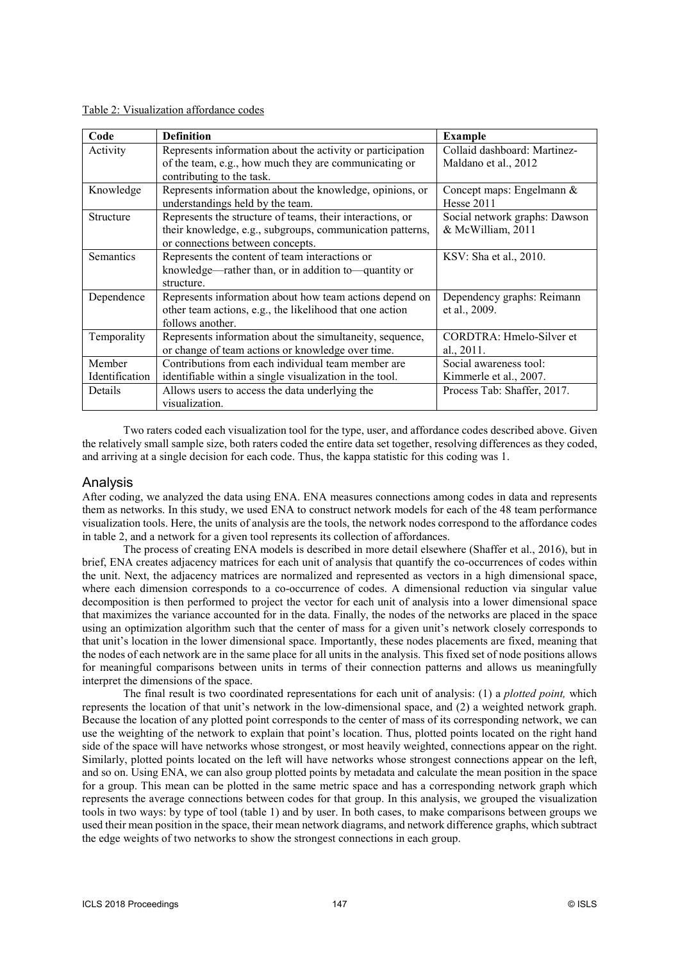|  | Table 2: Visualization affordance codes |
|--|-----------------------------------------|
|  |                                         |

| Code             | <b>Definition</b>                                                                                                   | <b>Example</b>                                       |
|------------------|---------------------------------------------------------------------------------------------------------------------|------------------------------------------------------|
| Activity         | Represents information about the activity or participation<br>of the team, e.g., how much they are communicating or | Collaid dashboard: Martinez-<br>Maldano et al., 2012 |
|                  | contributing to the task.                                                                                           |                                                      |
| Knowledge        | Represents information about the knowledge, opinions, or                                                            | Concept maps: Engelmann &                            |
|                  | understandings held by the team.                                                                                    | <b>Hesse 2011</b>                                    |
| <b>Structure</b> | Represents the structure of teams, their interactions, or                                                           | Social network graphs: Dawson                        |
|                  | their knowledge, e.g., subgroups, communication patterns,                                                           | & McWilliam, 2011                                    |
|                  | or connections between concepts.                                                                                    |                                                      |
| <b>Semantics</b> | Represents the content of team interactions or                                                                      | KSV: Sha et al., 2010.                               |
|                  | knowledge—rather than, or in addition to—quantity or                                                                |                                                      |
|                  | structure.                                                                                                          |                                                      |
| Dependence       | Represents information about how team actions depend on                                                             | Dependency graphs: Reimann                           |
|                  | other team actions, e.g., the likelihood that one action                                                            | et al., 2009.                                        |
|                  | follows another.                                                                                                    |                                                      |
| Temporality      | Represents information about the simultaneity, sequence,                                                            | CORDTRA: Hmelo-Silver et                             |
|                  | or change of team actions or knowledge over time.                                                                   | al., 2011.                                           |
| Member           | Contributions from each individual team member are                                                                  | Social awareness tool:                               |
| Identification   | identifiable within a single visualization in the tool.                                                             | Kimmerle et al., 2007.                               |
| Details          | Allows users to access the data underlying the                                                                      | Process Tab: Shaffer, 2017.                          |
|                  | visualization.                                                                                                      |                                                      |

Two raters coded each visualization tool for the type, user, and affordance codes described above. Given the relatively small sample size, both raters coded the entire data set together, resolving differences as they coded, and arriving at a single decision for each code. Thus, the kappa statistic for this coding was 1.

### Analysis

After coding, we analyzed the data using ENA. ENA measures connections among codes in data and represents them as networks. In this study, we used ENA to construct network models for each of the 48 team performance visualization tools. Here, the units of analysis are the tools, the network nodes correspond to the affordance codes in table 2, and a network for a given tool represents its collection of affordances.

The process of creating ENA models is described in more detail elsewhere (Shaffer et al., 2016), but in brief, ENA creates adjacency matrices for each unit of analysis that quantify the co-occurrences of codes within the unit. Next, the adjacency matrices are normalized and represented as vectors in a high dimensional space, where each dimension corresponds to a co-occurrence of codes. A dimensional reduction via singular value decomposition is then performed to project the vector for each unit of analysis into a lower dimensional space that maximizes the variance accounted for in the data. Finally, the nodes of the networks are placed in the space using an optimization algorithm such that the center of mass for a given unit's network closely corresponds to that unit's location in the lower dimensional space. Importantly, these nodes placements are fixed, meaning that the nodes of each network are in the same place for all units in the analysis. This fixed set of node positions allows for meaningful comparisons between units in terms of their connection patterns and allows us meaningfully interpret the dimensions of the space.

The final result is two coordinated representations for each unit of analysis: (1) a *plotted point*, which represents the location of that unit's network in the low-dimensional space, and (2) a weighted network graph. Because the location of any plotted point corresponds to the center of mass of its corresponding network, we can use the weighting of the network to explain that point's location. Thus, plotted points located on the right hand side of the space will have networks whose strongest, or most heavily weighted, connections appear on the right. Similarly, plotted points located on the left will have networks whose strongest connections appear on the left, and so on. Using ENA, we can also group plotted points by metadata and calculate the mean position in the space for a group. This mean can be plotted in the same metric space and has a corresponding network graph which represents the average connections between codes for that group. In this analysis, we grouped the visualization tools in two ways: by type of tool (table 1) and by user. In both cases, to make comparisons between groups we used their mean position in the space, their mean network diagrams, and network difference graphs, which subtract the edge weights of two networks to show the strongest connections in each group.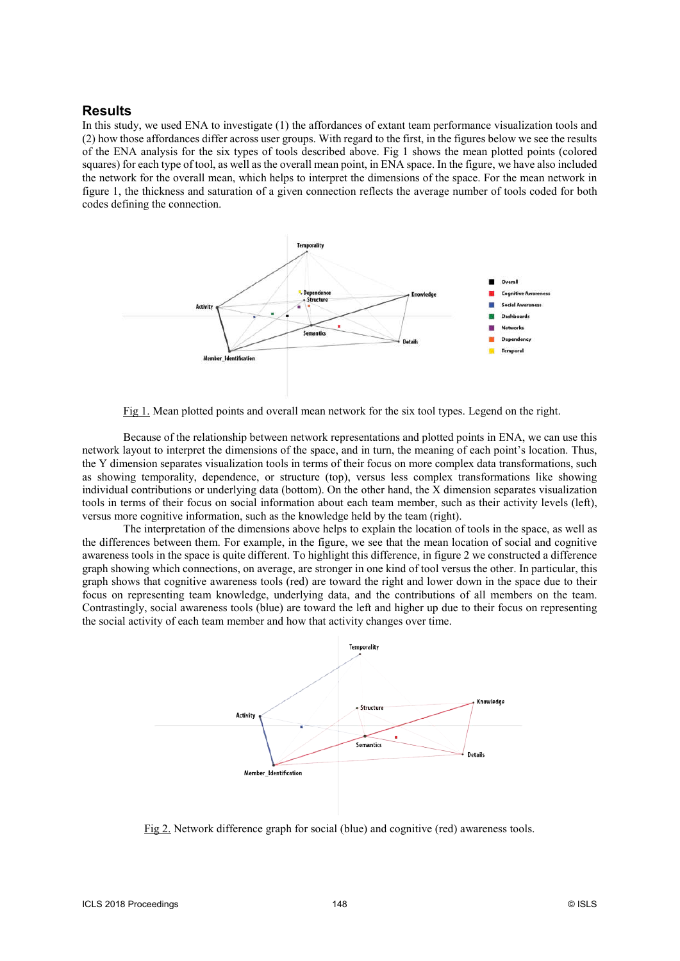# **Results**

In this study, we used ENA to investigate (1) the affordances of extant team performance visualization tools and (2) how those affordances differ across user groups. With regard to the first, in the figures below we see the results of the ENA analysis for the six types of tools described above. Fig 1 shows the mean plotted points (colored squares) for each type of tool, as well as the overall mean point, in ENA space. In the figure, we have also included the network for the overall mean, which helps to interpret the dimensions of the space. For the mean network in figure 1, the thickness and saturation of a given connection reflects the average number of tools coded for both codes defining the connection.



Fig 1. Mean plotted points and overall mean network for the six tool types. Legend on the right.

Because of the relationship between network representations and plotted points in ENA, we can use this network layout to interpret the dimensions of the space, and in turn, the meaning of each point's location. Thus, the Y dimension separates visualization tools in terms of their focus on more complex data transformations, such as showing temporality, dependence, or structure (top), versus less complex transformations like showing individual contributions or underlying data (bottom). On the other hand, the X dimension separates visualization tools in terms of their focus on social information about each team member, such as their activity levels (left), versus more cognitive information, such as the knowledge held by the team (right).

The interpretation of the dimensions above helps to explain the location of tools in the space, as well as the differences between them. For example, in the figure, we see that the mean location of social and cognitive awareness tools in the space is quite different. To highlight this difference, in figure 2 we constructed a difference graph showing which connections, on average, are stronger in one kind of tool versus the other. In particular, this graph shows that cognitive awareness tools (red) are toward the right and lower down in the space due to their focus on representing team knowledge, underlying data, and the contributions of all members on the team. Contrastingly, social awareness tools (blue) are toward the left and higher up due to their focus on representing the social activity of each team member and how that activity changes over time.



Fig 2. Network difference graph for social (blue) and cognitive (red) awareness tools.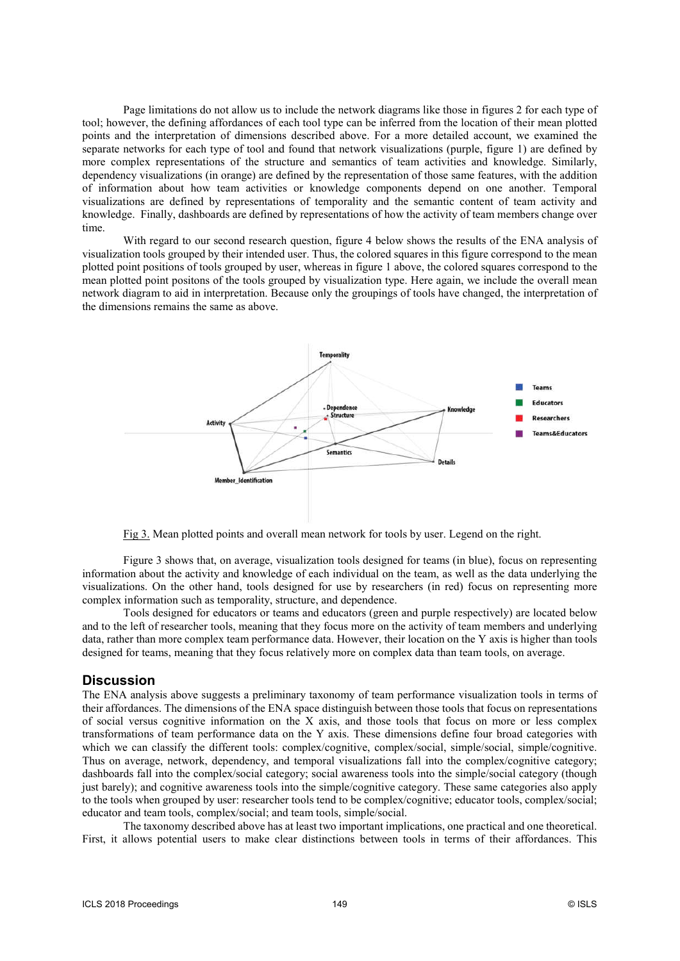Page limitations do not allow us to include the network diagrams like those in figures 2 for each type of tool; however, the defining affordances of each tool type can be inferred from the location of their mean plotted points and the interpretation of dimensions described above. For a more detailed account, we examined the separate networks for each type of tool and found that network visualizations (purple, figure 1) are defined by more complex representations of the structure and semantics of team activities and knowledge. Similarly, dependency visualizations (in orange) are defined by the representation of those same features, with the addition of information about how team activities or knowledge components depend on one another. Temporal visualizations are defined by representations of temporality and the semantic content of team activity and knowledge. Finally, dashboards are defined by representations of how the activity of team members change over time.

With regard to our second research question, figure 4 below shows the results of the ENA analysis of visualization tools grouped by their intended user. Thus, the colored squares in this figure correspond to the mean plotted point positions of tools grouped by user, whereas in figure 1 above, the colored squares correspond to the mean plotted point positons of the tools grouped by visualization type. Here again, we include the overall mean network diagram to aid in interpretation. Because only the groupings of tools have changed, the interpretation of the dimensions remains the same as above.



Fig 3. Mean plotted points and overall mean network for tools by user. Legend on the right.

Figure 3 shows that, on average, visualization tools designed for teams (in blue), focus on representing information about the activity and knowledge of each individual on the team, as well as the data underlying the visualizations. On the other hand, tools designed for use by researchers (in red) focus on representing more complex information such as temporality, structure, and dependence.

Tools designed for educators or teams and educators (green and purple respectively) are located below and to the left of researcher tools, meaning that they focus more on the activity of team members and underlying data, rather than more complex team performance data. However, their location on the Y axis is higher than tools designed for teams, meaning that they focus relatively more on complex data than team tools, on average.

#### **Discussion**

The ENA analysis above suggests a preliminary taxonomy of team performance visualization tools in terms of their affordances. The dimensions of the ENA space distinguish between those tools that focus on representations of social versus cognitive information on the X axis, and those tools that focus on more or less complex transformations of team performance data on the Y axis. These dimensions define four broad categories with which we can classify the different tools: complex/cognitive, complex/social, simple/social, simple/cognitive. Thus on average, network, dependency, and temporal visualizations fall into the complex/cognitive category; dashboards fall into the complex/social category; social awareness tools into the simple/social category (though just barely); and cognitive awareness tools into the simple/cognitive category. These same categories also apply to the tools when grouped by user: researcher tools tend to be complex/cognitive; educator tools, complex/social; educator and team tools, complex/social; and team tools, simple/social.

The taxonomy described above has at least two important implications, one practical and one theoretical. First, it allows potential users to make clear distinctions between tools in terms of their affordances. This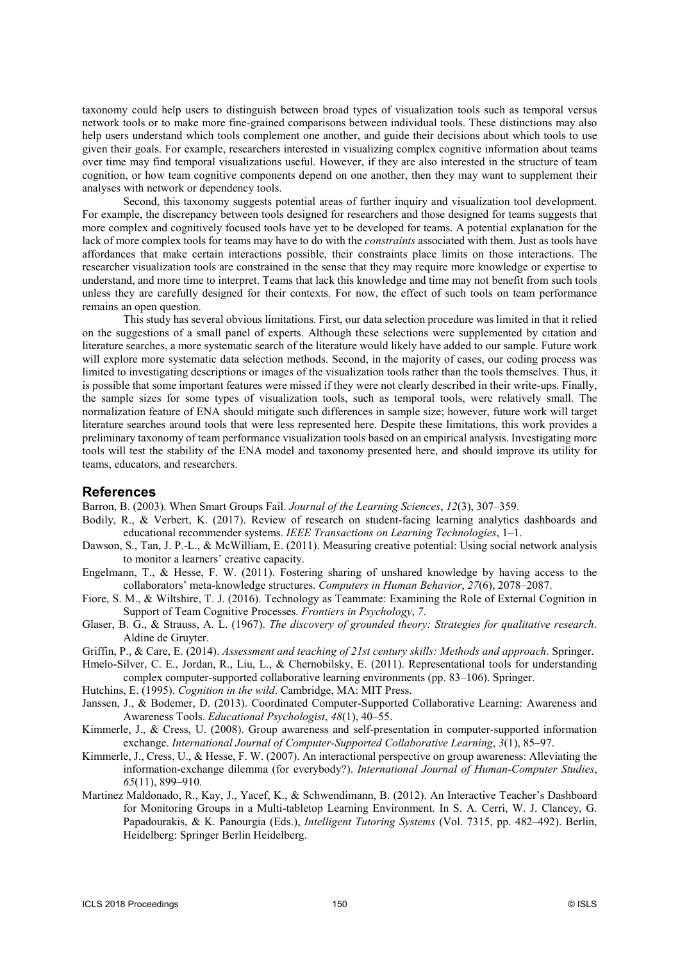taxonomy could help users to distinguish between broad types of visualization tools such as temporal versus network tools or to make more fine-grained comparisons between individual tools. These distinctions may also help users understand which tools complement one another, and guide their decisions about which tools to use given their goals. For example, researchers interested in visualizing complex cognitive information about teams over time may find temporal visualizations useful. However, if they are also interested in the structure of team cognition, or how team cognitive components depend on one another, then they may want to supplement their analyses with network or dependency tools.

Second, this taxonomy suggests potential areas of further inquiry and visualization tool development. For example, the discrepancy between tools designed for researchers and those designed for teams suggests that more complex and cognitively focused tools have yet to be developed for teams. A potential explanation for the lack of more complex tools for teams may have to do with the *constraints* associated with them. Just as tools have affordances that make certain interactions possible, their constraints place limits on those interactions. The researcher visualization tools are constrained in the sense that they may require more knowledge or expertise to understand, and more time to interpret. Teams that lack this knowledge and time may not benefit from such tools unless they are carefully designed for their contexts. For now, the effect of such tools on team performance remains an open question.

This study has several obvious limitations. First, our data selection procedure was limited in that it relied on the suggestions of a small panel of experts. Although these selections were supplemented by citation and literature searches, a more systematic search of the literature would likely have added to our sample. Future work will explore more systematic data selection methods. Second, in the majority of cases, our coding process was limited to investigating descriptions or images of the visualization tools rather than the tools themselves. Thus, it is possible that some important features were missed if they were not clearly described in their write-ups. Finally, the sample sizes for some types of visualization tools, such as temporal tools, were relatively small. The normalization feature of ENA should mitigate such differences in sample size; however, future work will target literature searches around tools that were less represented here. Despite these limitations, this work provides a preliminary taxonomy of team performance visualization tools based on an empirical analysis. Investigating more tools will test the stability of the ENA model and taxonomy presented here, and should improve its utility for teams, educators, and researchers.

### **References**

Barron, B. (2003). When Smart Groups Fail. Journal of the Learning Sciences, 12(3), 307–359.

- Bodily, R., & Verbert, K. (2017). Review of research on student-facing learning analytics dashboards and educational recommender systems. IEEE Transactions on Learning Technologies, 1–1.
- Dawson, S., Tan, J. P.-L., & McWilliam, E. (2011). Measuring creative potential: Using social network analysis to monitor a learners' creative capacity.
- Engelmann, T., & Hesse, F. W. (2011). Fostering sharing of unshared knowledge by having access to the collaborators' meta-knowledge structures. Computers in Human Behavior, 27(6), 2078–2087.
- Fiore, S. M., & Wiltshire, T. J. (2016). Technology as Teammate: Examining the Role of External Cognition in Support of Team Cognitive Processes. Frontiers in Psychology, 7.
- Glaser, B. G., & Strauss, A. L. (1967). The discovery of grounded theory: Strategies for qualitative research. Aldine de Gruyter.
- Griffin, P., & Care, E. (2014). Assessment and teaching of 21st century skills: Methods and approach. Springer.
- Hmelo-Silver, C. E., Jordan, R., Liu, L., & Chernobilsky, E. (2011). Representational tools for understanding complex computer-supported collaborative learning environments (pp. 83–106). Springer.
- Hutchins, E. (1995). Cognition in the wild. Cambridge, MA: MIT Press.
- Janssen, J., & Bodemer, D. (2013). Coordinated Computer-Supported Collaborative Learning: Awareness and Awareness Tools. Educational Psychologist, 48(1), 40–55.
- Kimmerle, J., & Cress, U. (2008). Group awareness and self-presentation in computer-supported information exchange. International Journal of Computer-Supported Collaborative Learning, 3(1), 85–97.
- Kimmerle, J., Cress, U., & Hesse, F. W. (2007). An interactional perspective on group awareness: Alleviating the information-exchange dilemma (for everybody?). International Journal of Human-Computer Studies, 65(11), 899–910.
- Martinez Maldonado, R., Kay, J., Yacef, K., & Schwendimann, B. (2012). An Interactive Teacher's Dashboard for Monitoring Groups in a Multi-tabletop Learning Environment. In S. A. Cerri, W. J. Clancey, G. Papadourakis, & K. Panourgia (Eds.), Intelligent Tutoring Systems (Vol. 7315, pp. 482–492). Berlin, Heidelberg: Springer Berlin Heidelberg.